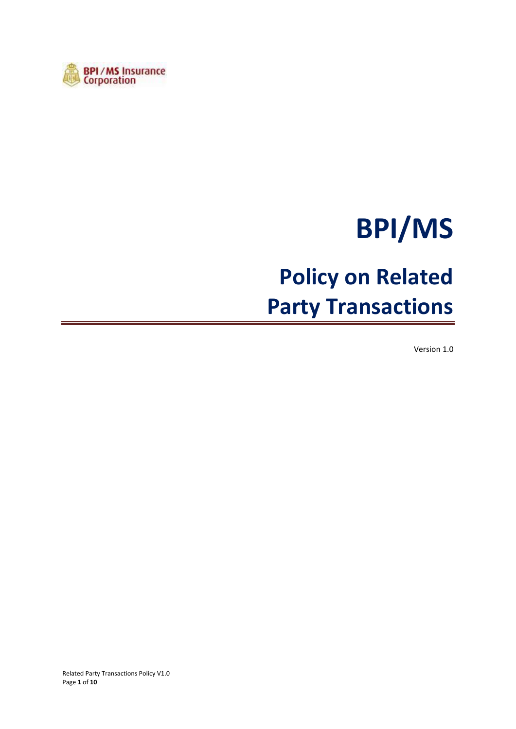

# **BPI/MS**

## **Policy on Related Party Transactions**

Version 1.0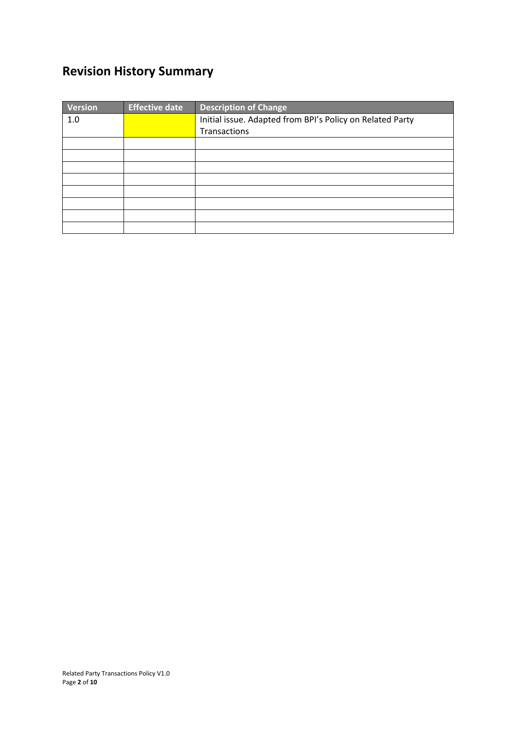## **Revision History Summary**

| <b>Version</b> | <b>Effective date</b> | <b>Description of Change</b>                              |  |  |
|----------------|-----------------------|-----------------------------------------------------------|--|--|
| 1.0            |                       | Initial issue. Adapted from BPI's Policy on Related Party |  |  |
|                |                       | Transactions                                              |  |  |
|                |                       |                                                           |  |  |
|                |                       |                                                           |  |  |
|                |                       |                                                           |  |  |
|                |                       |                                                           |  |  |
|                |                       |                                                           |  |  |
|                |                       |                                                           |  |  |
|                |                       |                                                           |  |  |
|                |                       |                                                           |  |  |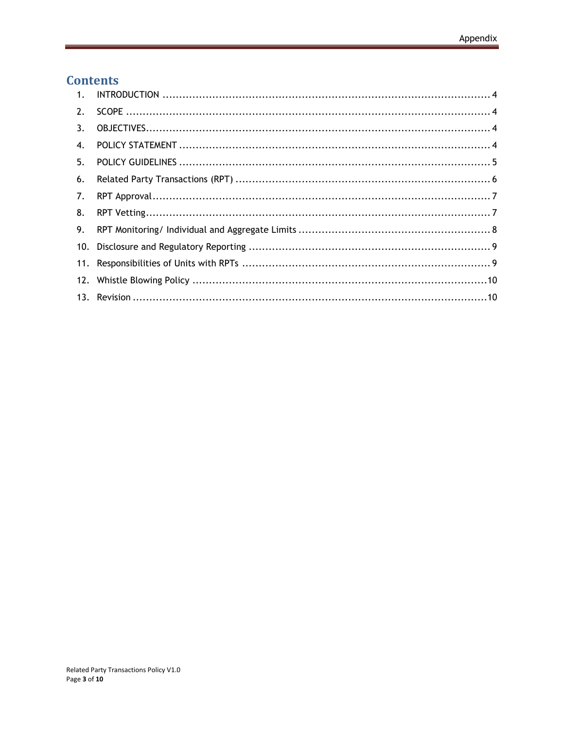## **Contents**

| 2. |  |
|----|--|
| 3. |  |
| 4. |  |
| 5. |  |
| 6. |  |
| 7. |  |
| 8. |  |
| 9. |  |
|    |  |
|    |  |
|    |  |
|    |  |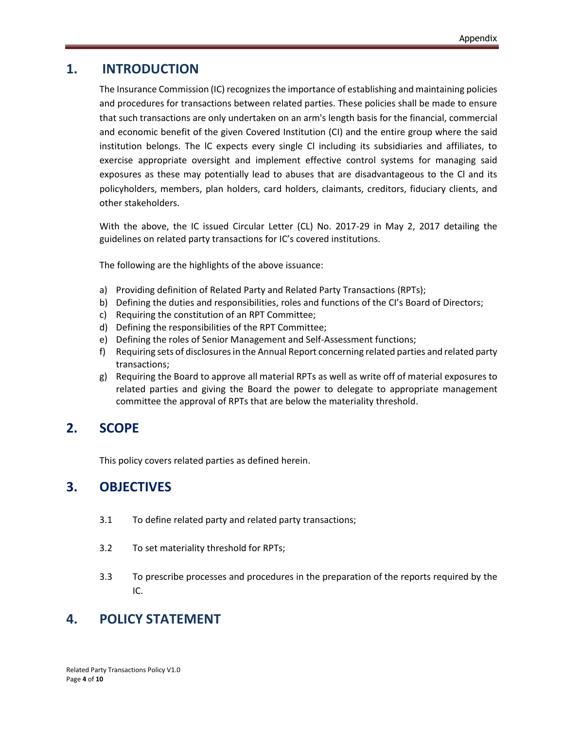## **1. INTRODUCTION**

<span id="page-3-0"></span>The Insurance Commission (IC) recognizes the importance of establishing and maintaining policies and procedures for transactions between related parties. These policies shall be made to ensure that such transactions are only undertaken on an arm's length basis for the financial, commercial and economic benefit of the given Covered Institution (CI) and the entire group where the said institution belongs. The lC expects every single Cl including its subsidiaries and affiliates, to exercise appropriate oversight and implement effective control systems for managing said exposures as these may potentially lead to abuses that are disadvantageous to the Cl and its policyholders, members, plan holders, card holders, claimants, creditors, fiduciary clients, and other stakeholders.

With the above, the IC issued Circular Letter (CL) No. 2017-29 in May 2, 2017 detailing the guidelines on related party transactions for IC's covered institutions.

The following are the highlights of the above issuance:

- a) Providing definition of Related Party and Related Party Transactions (RPTs);
- b) Defining the duties and responsibilities, roles and functions of the CI's Board of Directors;
- c) Requiring the constitution of an RPT Committee;
- d) Defining the responsibilities of the RPT Committee;
- e) Defining the roles of Senior Management and Self-Assessment functions;
- f) Requiring sets of disclosures in the Annual Report concerning related parties and related party transactions;
- g) Requiring the Board to approve all material RPTs as well as write off of material exposures to related parties and giving the Board the power to delegate to appropriate management committee the approval of RPTs that are below the materiality threshold.

## <span id="page-3-1"></span>**2. SCOPE**

This policy covers related parties as defined herein.

## <span id="page-3-2"></span>**3. OBJECTIVES**

- 3.1 To define related party and related party transactions;
- 3.2 To set materiality threshold for RPTs;
- 3.3 To prescribe processes and procedures in the preparation of the reports required by the IC.

## <span id="page-3-3"></span>**4. POLICY STATEMENT**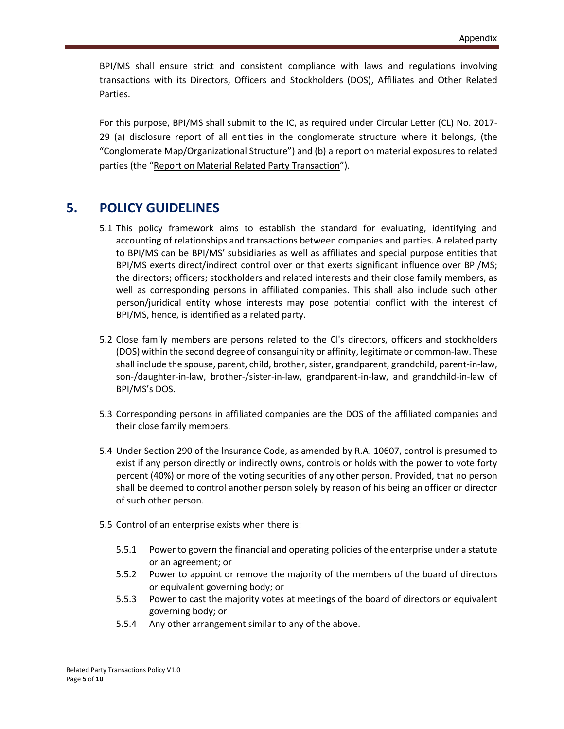BPI/MS shall ensure strict and consistent compliance with laws and regulations involving transactions with its Directors, Officers and Stockholders (DOS), Affiliates and Other Related Parties.

For this purpose, BPI/MS shall submit to the IC, as required under Circular Letter (CL) No. 2017- 29 (a) disclosure report of all entities in the conglomerate structure where it belongs, (the "Conglomerate Map/Organizational Structure") and (b) a report on material exposures to related parties (the "Report on Material Related Party Transaction").

## <span id="page-4-0"></span>**5. POLICY GUIDELINES**

- 5.1 This policy framework aims to establish the standard for evaluating, identifying and accounting of relationships and transactions between companies and parties. A related party to BPI/MS can be BPI/MS' subsidiaries as well as affiliates and special purpose entities that BPI/MS exerts direct/indirect control over or that exerts significant influence over BPI/MS; the directors; officers; stockholders and related interests and their close family members, as well as corresponding persons in affiliated companies. This shall also include such other person/juridical entity whose interests may pose potential conflict with the interest of BPI/MS, hence, is identified as a related party.
- 5.2 Close family members are persons related to the Cl's directors, officers and stockholders (DOS) within the second degree of consanguinity or affinity, legitimate or common-law. These shall include the spouse, parent, child, brother, sister, grandparent, grandchild, parent-in-law, son-/daughter-in-law, brother-/sister-in-law, grandparent-in-law, and grandchild-in-law of BPI/MS's DOS.
- 5.3 Corresponding persons in affiliated companies are the DOS of the affiliated companies and their close family members.
- 5.4 Under Section 290 of the lnsurance Code, as amended by R.A. 10607, control is presumed to exist if any person directly or indirectly owns, controls or holds with the power to vote forty percent (40%) or more of the voting securities of any other person. Provided, that no person shall be deemed to control another person solely by reason of his being an officer or director of such other person.
- 5.5 Control of an enterprise exists when there is:
	- 5.5.1 Power to govern the financial and operating policies of the enterprise under a statute or an agreement; or
	- 5.5.2 Power to appoint or remove the majority of the members of the board of directors or equivalent governing body; or
	- 5.5.3 Power to cast the majority votes at meetings of the board of directors or equivalent governing body; or
	- 5.5.4 Any other arrangement similar to any of the above.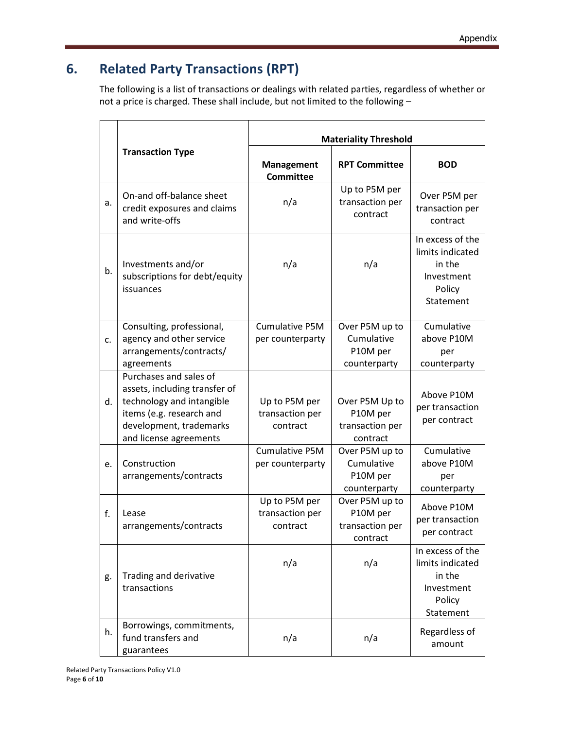## <span id="page-5-0"></span>**6. Related Party Transactions (RPT)**

The following is a list of transactions or dealings with related parties, regardless of whether or not a price is charged. These shall include, but not limited to the following –

|    |                                                                                                                                                                       | <b>Materiality Threshold</b>                 |                                                           |                                                                                     |  |
|----|-----------------------------------------------------------------------------------------------------------------------------------------------------------------------|----------------------------------------------|-----------------------------------------------------------|-------------------------------------------------------------------------------------|--|
|    | <b>Transaction Type</b>                                                                                                                                               | <b>Management</b><br><b>Committee</b>        | <b>RPT Committee</b>                                      | <b>BOD</b>                                                                          |  |
| a. | On-and off-balance sheet<br>credit exposures and claims<br>and write-offs                                                                                             | n/a                                          | Up to P5M per<br>transaction per<br>contract              | Over P5M per<br>transaction per<br>contract                                         |  |
| b. | Investments and/or<br>subscriptions for debt/equity<br>issuances                                                                                                      | n/a                                          | n/a                                                       | In excess of the<br>limits indicated<br>in the<br>Investment<br>Policy<br>Statement |  |
| c. | Consulting, professional,<br>agency and other service<br>arrangements/contracts/<br>agreements                                                                        | <b>Cumulative P5M</b><br>per counterparty    | Over P5M up to<br>Cumulative<br>P10M per<br>counterparty  | Cumulative<br>above P10M<br>per<br>counterparty                                     |  |
| d. | Purchases and sales of<br>assets, including transfer of<br>technology and intangible<br>items (e.g. research and<br>development, trademarks<br>and license agreements | Up to P5M per<br>transaction per<br>contract | Over P5M Up to<br>P10M per<br>transaction per<br>contract | Above P10M<br>per transaction<br>per contract                                       |  |
| e. | Construction<br>arrangements/contracts                                                                                                                                | <b>Cumulative P5M</b><br>per counterparty    | Over P5M up to<br>Cumulative<br>P10M per<br>counterparty  | Cumulative<br>above P10M<br>per<br>counterparty                                     |  |
| f. | Lease<br>arrangements/contracts                                                                                                                                       | Up to P5M per<br>transaction per<br>contract | Over P5M up to<br>P10M per<br>transaction per<br>contract | Above P10M<br>per transaction<br>per contract                                       |  |
| g. | Trading and derivative<br>transactions                                                                                                                                | n/a                                          | n/a                                                       | In excess of the<br>limits indicated<br>in the<br>Investment<br>Policy<br>Statement |  |
| h. | Borrowings, commitments,<br>fund transfers and<br>guarantees                                                                                                          | n/a                                          | n/a                                                       | Regardless of<br>amount                                                             |  |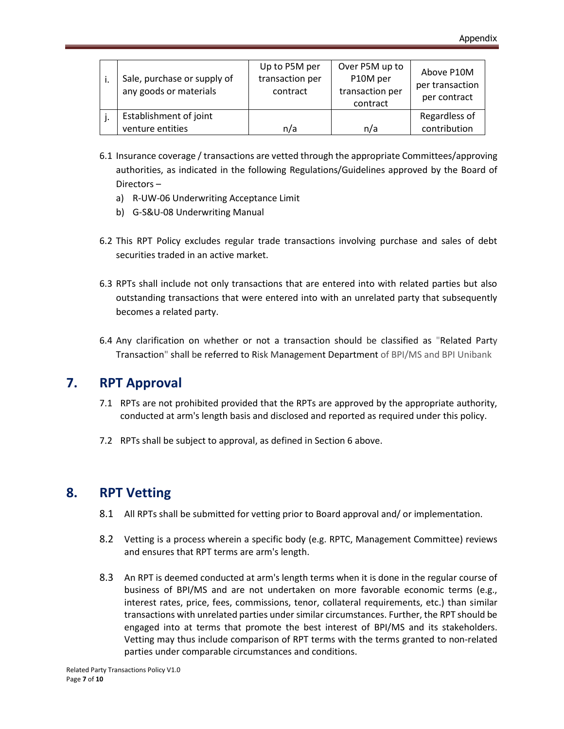| Sale, purchase or supply of<br>any goods or materials | Up to P5M per<br>transaction per<br>contract | Over P5M up to<br>P10M per<br>transaction per<br>contract | Above P10M<br>per transaction<br>per contract |
|-------------------------------------------------------|----------------------------------------------|-----------------------------------------------------------|-----------------------------------------------|
| Establishment of joint<br>venture entities            | n/a                                          | n/a                                                       | Regardless of<br>contribution                 |

- 6.1 Insurance coverage / transactions are vetted through the appropriate Committees/approving authorities, as indicated in the following Regulations/Guidelines approved by the Board of Directors –
	- a) R-UW-06 Underwriting Acceptance Limit
	- b) G-S&U-08 Underwriting Manual
- 6.2 This RPT Policy excludes regular trade transactions involving purchase and sales of debt securities traded in an active market.
- 6.3 RPTs shall include not only transactions that are entered into with related parties but also outstanding transactions that were entered into with an unrelated party that subsequently becomes a related party.
- 6.4 Any clarification on whether or not a transaction should be classified as "Related Party Transaction" shall be referred to Risk Management Department of BPI/MS and BPI Unibank

## <span id="page-6-0"></span>**7. RPT Approval**

- 7.1 RPTs are not prohibited provided that the RPTs are approved by the appropriate authority, conducted at arm's length basis and disclosed and reported as required under this policy.
- 7.2 RPTs shall be subject to approval, as defined in Section 6 above.

## <span id="page-6-1"></span>**8. RPT Vetting**

- 8.1 All RPTs shall be submitted for vetting prior to Board approval and/ or implementation.
- 8.2 Vetting is a process wherein a specific body (e.g. RPTC, Management Committee) reviews and ensures that RPT terms are arm's length.
- 8.3 An RPT is deemed conducted at arm's length terms when it is done in the regular course of business of BPI/MS and are not undertaken on more favorable economic terms (e.g., interest rates, price, fees, commissions, tenor, collateral requirements, etc.) than similar transactions with unrelated parties under similar circumstances. Further, the RPT should be engaged into at terms that promote the best interest of BPI/MS and its stakeholders. Vetting may thus include comparison of RPT terms with the terms granted to non-related parties under comparable circumstances and conditions.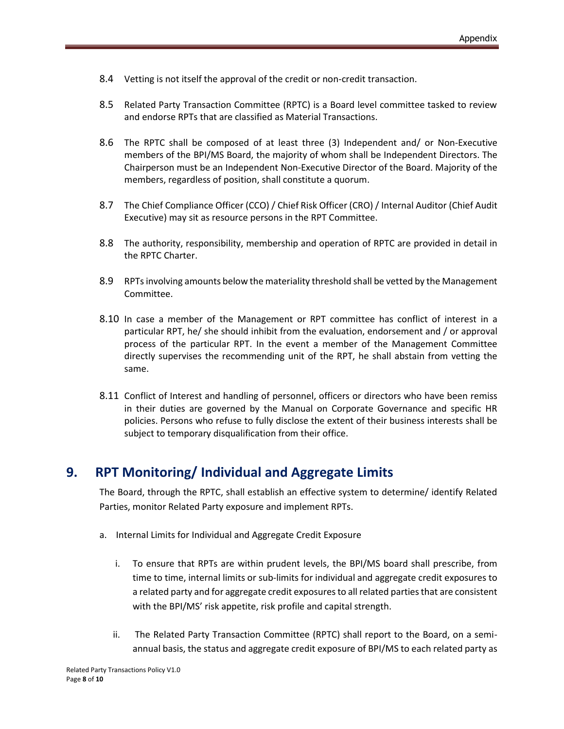- 8.4 Vetting is not itself the approval of the credit or non-credit transaction.
- 8.5 Related Party Transaction Committee (RPTC) is a Board level committee tasked to review and endorse RPTs that are classified as Material Transactions.
- 8.6 The RPTC shall be composed of at least three (3) Independent and/ or Non-Executive members of the BPI/MS Board, the majority of whom shall be Independent Directors. The Chairperson must be an Independent Non-Executive Director of the Board. Majority of the members, regardless of position, shall constitute a quorum.
- 8.7 The Chief Compliance Officer (CCO) / Chief Risk Officer (CRO) / Internal Auditor (Chief Audit Executive) may sit as resource persons in the RPT Committee.
- 8.8 The authority, responsibility, membership and operation of RPTC are provided in detail in the RPTC Charter.
- 8.9 RPTs involving amounts below the materiality threshold shall be vetted by the Management Committee.
- 8.10 In case a member of the Management or RPT committee has conflict of interest in a particular RPT, he/ she should inhibit from the evaluation, endorsement and / or approval process of the particular RPT. In the event a member of the Management Committee directly supervises the recommending unit of the RPT, he shall abstain from vetting the same.
- 8.11 Conflict of Interest and handling of personnel, officers or directors who have been remiss in their duties are governed by the Manual on Corporate Governance and specific HR policies. Persons who refuse to fully disclose the extent of their business interests shall be subject to temporary disqualification from their office.

## <span id="page-7-0"></span>**9. RPT Monitoring/ Individual and Aggregate Limits**

The Board, through the RPTC, shall establish an effective system to determine/ identify Related Parties, monitor Related Party exposure and implement RPTs.

- a. Internal Limits for Individual and Aggregate Credit Exposure
	- i. To ensure that RPTs are within prudent levels, the BPI/MS board shall prescribe, from time to time, internal limits or sub-limits for individual and aggregate credit exposures to a related party and for aggregate credit exposures to all related parties that are consistent with the BPI/MS' risk appetite, risk profile and capital strength.
	- ii. The Related Party Transaction Committee (RPTC) shall report to the Board, on a semiannual basis, the status and aggregate credit exposure of BPI/MS to each related party as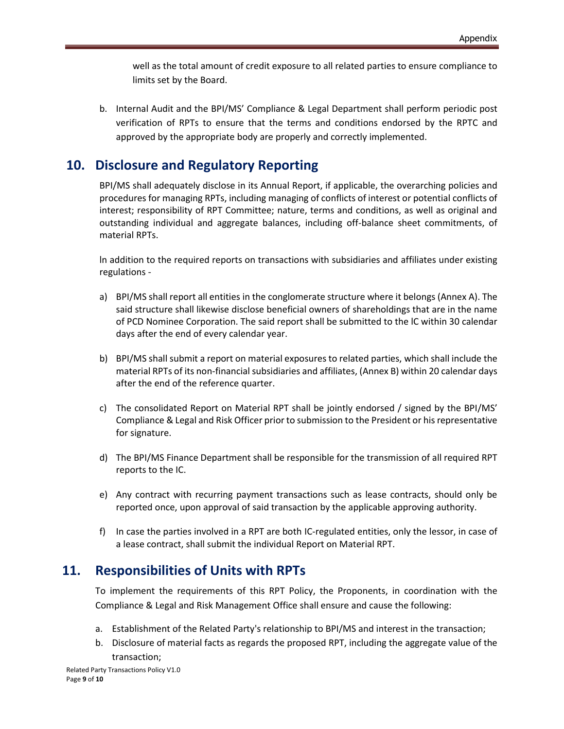well as the total amount of credit exposure to all related parties to ensure compliance to limits set by the Board.

b. Internal Audit and the BPI/MS' Compliance & Legal Department shall perform periodic post verification of RPTs to ensure that the terms and conditions endorsed by the RPTC and approved by the appropriate body are properly and correctly implemented.

## <span id="page-8-0"></span>**10. Disclosure and Regulatory Reporting**

BPI/MS shall adequately disclose in its Annual Report, if applicable, the overarching policies and procedures for managing RPTs, including managing of conflicts of interest or potential conflicts of interest; responsibility of RPT Committee; nature, terms and conditions, as well as original and outstanding individual and aggregate balances, including off-balance sheet commitments, of material RPTs.

ln addition to the required reports on transactions with subsidiaries and affiliates under existing regulations -

- a) BPI/MS shall report all entities in the conglomerate structure where it belongs (Annex A). The said structure shall likewise disclose beneficial owners of shareholdings that are in the name of PCD Nominee Corporation. The said report shall be submitted to the lC within 30 calendar days after the end of every calendar year.
- b) BPI/MS shall submit a report on material exposures to related parties, which shall include the material RPTs of its non-financial subsidiaries and affiliates, (Annex B) within 20 calendar days after the end of the reference quarter.
- c) The consolidated Report on Material RPT shall be jointly endorsed / signed by the BPI/MS' Compliance & Legal and Risk Officer prior to submission to the President or his representative for signature.
- d) The BPI/MS Finance Department shall be responsible for the transmission of all required RPT reports to the IC.
- e) Any contract with recurring payment transactions such as lease contracts, should only be reported once, upon approval of said transaction by the applicable approving authority.
- f) In case the parties involved in a RPT are both IC-regulated entities, only the lessor, in case of a lease contract, shall submit the individual Report on Material RPT.

## <span id="page-8-1"></span>**11. Responsibilities of Units with RPTs**

To implement the requirements of this RPT Policy, the Proponents, in coordination with the Compliance & Legal and Risk Management Office shall ensure and cause the following:

- a. Establishment of the Related Party's relationship to BPI/MS and interest in the transaction;
- b. Disclosure of material facts as regards the proposed RPT, including the aggregate value of the transaction;